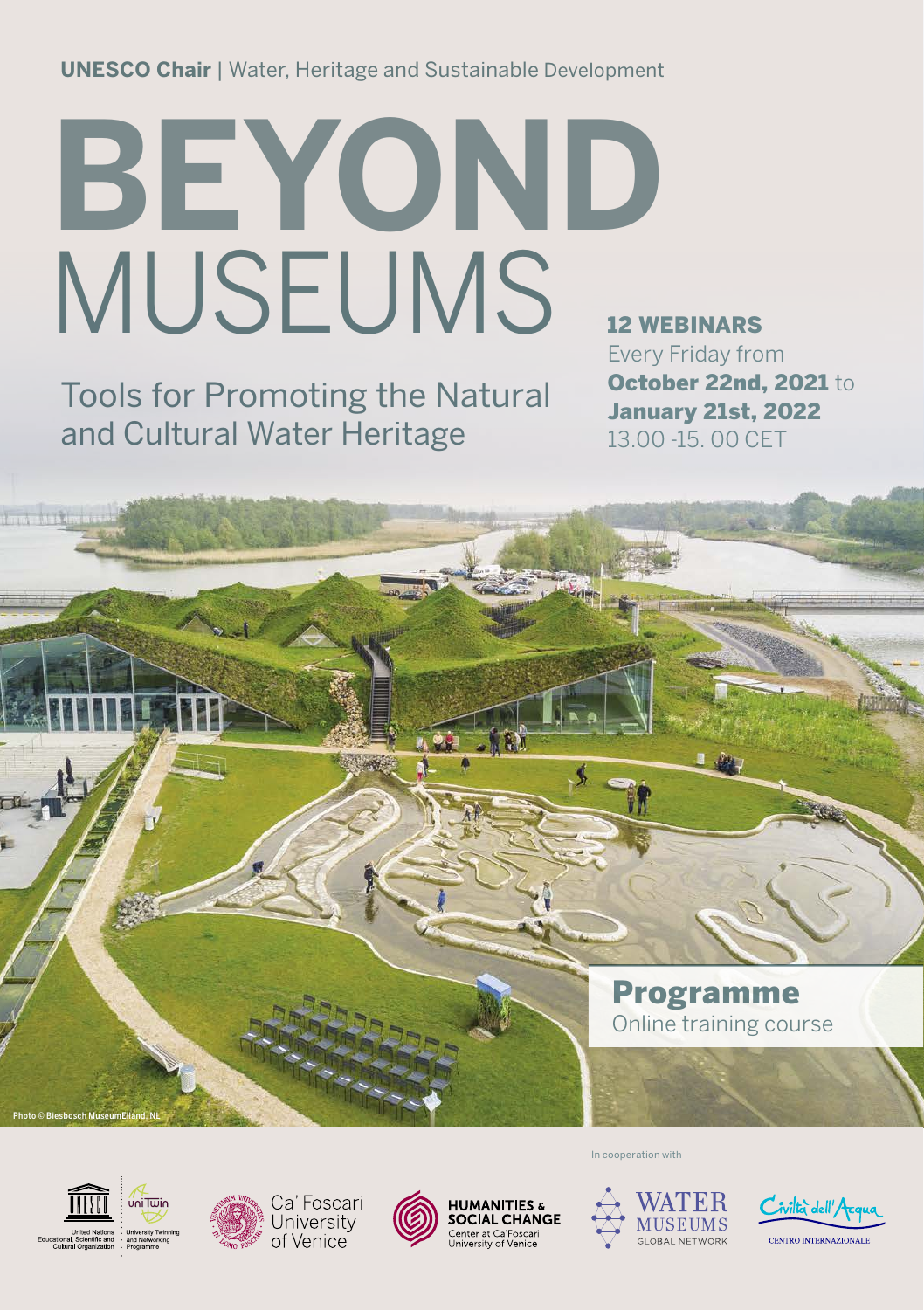**UNESCO Chair** | Water, Heritage and Sustainable Development

# **BEYOND**  MUSEUMS

Tools for Promoting the Natural and Cultural Water Heritage

12 WEBINARS Every Friday from October 22nd, 2021 to January 21st, 2022 13.00 -15. 00 CET

Programme Online training course



Photo © Biesbosch MuseumEiland, NL







In cooperation with



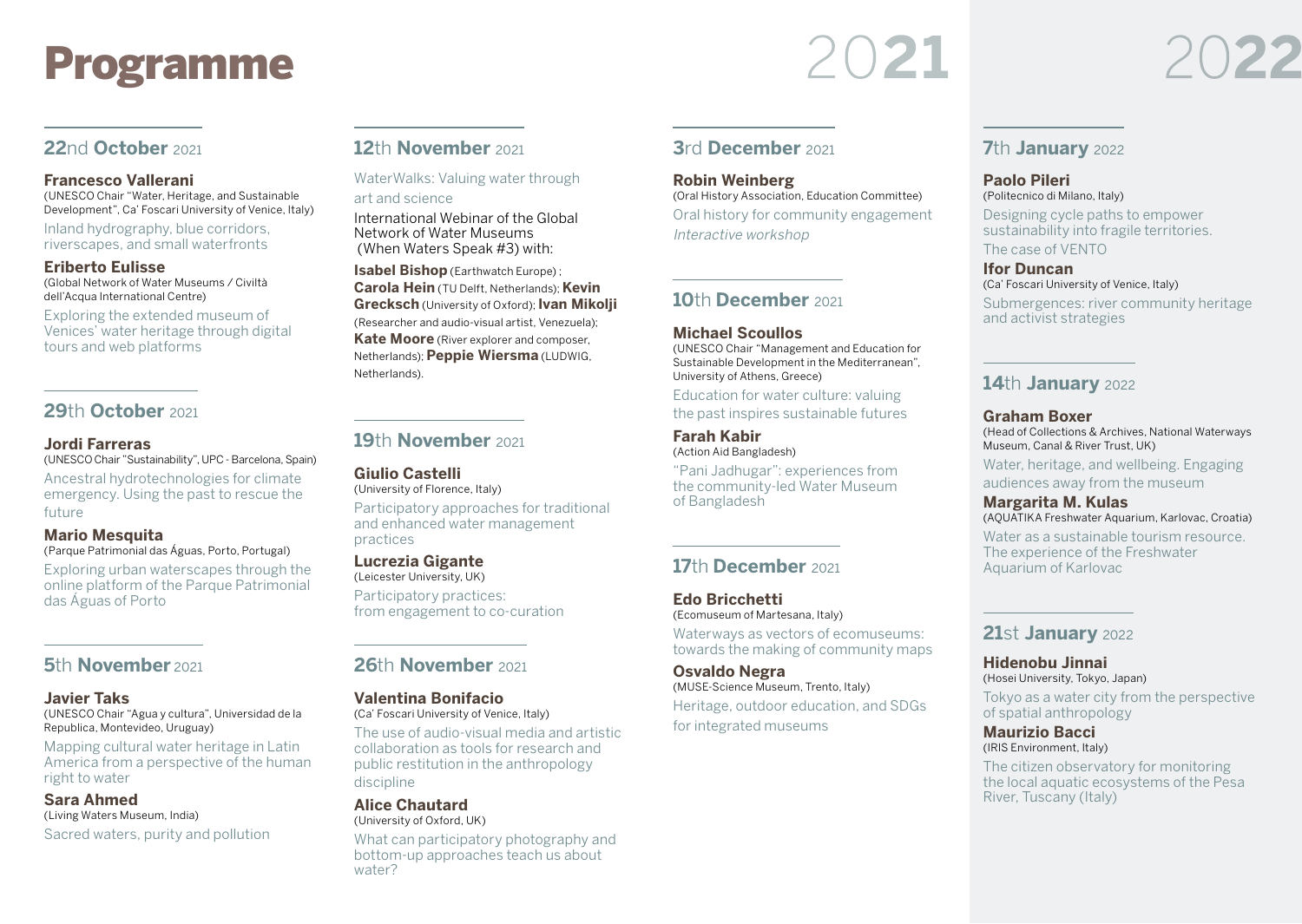# Programme

2021

# **22**nd **October** <sup>2021</sup>

#### **Francesco Vallerani**

(UNESCO Chair "Water, Heritage, and Sustainable Development", Ca' Foscari University of Venice, Italy)

Inland hydrography, blue corridors, riverscapes, and small waterfronts

#### **Eriberto Eulisse**

(Global Network of Water Museums / Civiltà dell'Acqua International Centre)

Exploring the extended museum of Venices' water heritage through digital tours and web platforms

# **29**th **October** <sup>2021</sup>

#### **Jordi Farreras**

(UNESCO Chair "Sustainability", UPC - Barcelona, Spain)

Ancestral hydrotechnologies for climate emergency. Using the past to rescue the future

### **Mario Mesquita**

(Parque Patrimonial das Águas, Porto, Portugal) Exploring urban waterscapes through the online platform of the Parque Patrimonial das Águas of Porto

# **5<sup>th</sup> November** 2021

#### **Javier Taks**

(UNESCO Chair "Agua y cultura", Universidad de la Republica, Montevideo, Uruguay)

Mapping cultural water heritage in Latin America from a perspective of the human right to water

#### **Sara Ahmed** (Living Waters Museum, India)

Sacred waters, purity and pollution

# **12**th **November** <sup>2021</sup>

WaterWalks: Valuing water through art and science

International Webinar of the Global Network of Water Museums (When Waters Speak #3) with:

**Isabel Bishop** (Earthwatch Europe) ; **Carola Hein** (TU Delft, Netherlands); **Kevin Grecksch** (University of Oxford); **Ivan Mikolji** (Researcher and audio-visual artist, Venezuela); **Kate Moore** (River explorer and composer, Netherlands); **Peppie Wiersma** (LUDWIG, Netherlands).

# **19**th **November** <sup>2021</sup>

**Giulio Castelli** (University of Florence, Italy)

Participatory approaches for traditional and enhanced water management practices

#### **Lucrezia Gigante**

(Leicester University, UK) Participatory practices: from engagement to co-curation

# **26**th **November** <sup>2021</sup>

#### **Valentina Bonifacio**

(Ca' Foscari University of Venice, Italy)

The use of audio-visual media and artistic collaboration as tools for research and public restitution in the anthropology discipline

#### **Alice Chautard** (University of Oxford, UK)

What can participatory photography and bottom-up approaches teach us about water?

### **3**rd **December** <sup>2021</sup>

**Robin Weinberg** (Oral History Association, Education Committee) Oral history for community engagement Interactive workshop

## **10**th **December** <sup>2021</sup>

#### **Michael Scoullos**

(UNESCO Chair "Management and Education for Sustainable Development in the Mediterranean", University of Athens, Greece)

Education for water culture: valuing the past inspires sustainable futures

#### **Farah Kabir** (Action Aid Bangladesh)

"Pani Jadhugar": experiences from the community-led Water Museum of Bangladesh

# **17**th **December** <sup>2021</sup>

**Edo Bricchetti** (Ecomuseum of Martesana, Italy) Waterways as vectors of ecomuseums: towards the making of community maps

**Osvaldo Negra** (MUSE-Science Museum, Trento, Italy) Heritage, outdoor education, and SDGs

for integrated museums



#### **Paolo Pileri** (Politecnico di Milano, Italy)

Designing cycle paths to empower sustainability into fragile territories. The case of VENTO

**Ifor Duncan** (Ca' Foscari University of Venice, Italy)

Submergences: river community heritage and activist strategies

# **14**th **January** <sup>2022</sup>

#### **Graham Boxer**

(Head of Collections & Archives, National Waterways Museum, Canal & River Trust, UK)

Water, heritage, and wellbeing. Engaging audiences away from the museum

**Margarita M. Kulas** (AQUATIKA Freshwater Aquarium, Karlovac, Croatia)

Water as a sustainable tourism resource. The experience of the Freshwater Aquarium of Karlovac

## **21**st **January** <sup>2022</sup>

**Hidenobu Jinnai** (Hosei University, Tokyo, Japan)

Tokyo as a water city from the perspective of spatial anthropology

**Maurizio Bacci** (IRIS Environment, Italy)

The citizen observatory for monitoring the local aquatic ecosystems of the Pesa River, Tuscany (Italy)

# 022